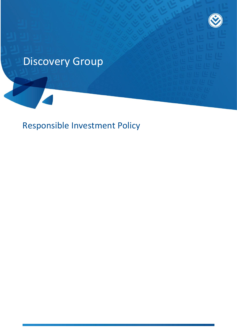# Discovery Group

Responsible Investment Policy

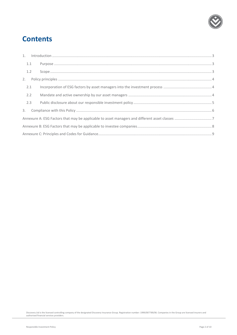

# **Contents**

| 1.1 |  |  |  |  |
|-----|--|--|--|--|
| 1.2 |  |  |  |  |
|     |  |  |  |  |
| 2.1 |  |  |  |  |
| 2.2 |  |  |  |  |
| 2.3 |  |  |  |  |
|     |  |  |  |  |
|     |  |  |  |  |
|     |  |  |  |  |
|     |  |  |  |  |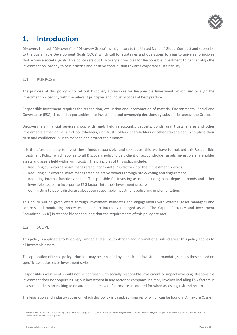

# <span id="page-2-0"></span>**1. Introduction**

Discovery Limited ("Discovery" or "Discovery Group") is a signatory to the United Nations' Global Compact and subscribe to the Sustainable Development Goals (SDGs) which call for strategies and operations to align to universal principles that advance societal goals. This policy sets out Discovery's principles for Responsible Investment to further align the investment philosophy to best practice and positive contribution towards corporate sustainability.

### <span id="page-2-1"></span>1.1 PURPOSE

The purpose of this policy is to set out Discovery's principles for Responsible Investment, which aim to align the investment philosophy with the relevant principles and industry codes of best practice.

Responsible Investment requires the recognition, evaluation and incorporation of material Environmental, Social and Governance (ESG) risks and opportunities into investment and ownership decisions by subsidiaries across the Group.

Discovery is a financial services group with funds held in accounts, deposits, bonds, unit trusts, shares and other investments either on behalf of policyholders, unit trust holders, shareholders or other stakeholders who place their trust and confidence in us to manage and protect their money.

It is therefore our duty to invest these funds responsibly, and to support this, we have formulated this Responsible Investment Policy, which applies to all Discovery policyholder, client or accountholder assets, investible shareholder assets and assets held within unit trusts. The principles of this policy include:

- Requiring our external asset managers to incorporate ESG factors into their investment process.
- Requiring our external asset managers to be active owners through proxy voting and engagement.
- Requiring internal functions and staff responsible for investing assets (including bank deposits, bonds and other investible assets) to incorporate ESG factors into their investment process.
- Committing to public disclosure about our responsible investment policy and implementation.

This policy will be given effect through investment mandates and engagements with external asset managers and controls and monitoring processes applied to internally managed assets. The Capital Currency and Investment Committee (CCIC) is responsible for ensuring that the requirements of this policy are met.

### <span id="page-2-2"></span>1.2 SCOPE

This policy is applicable to Discovery Limited and all South African and international subsidiaries. This policy applies to all investable assets.

The application of these policy principles may be impacted by a particular investment mandate, such as those based on specific asset classes or investment styles.

Responsible investment should not be confused with socially responsible investment or impact investing. Responsible investment does not require ruling out investment in any sector or company. It simply involves including ESG factors in investment decision-making to ensure that all relevant factors are accounted for when assessing risk and return.

The legislation and industry codes on which this policy is based, summaries of which can be found in Annexure C, are:

Discovery Ltd is the licensed controlling company of the designated Discovery Insurance Group. Registration number: 1999/007789/06. Companies in the Group are licensed insurers and authorised financial services providers.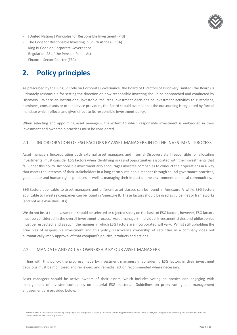

- [United Nations] Principles for Responsible Investment (PRI)
- The Code for Responsible Investing in South Africa (CRISA)
- King IV Code on Corporate Governance.
- Regulation 28 of the Pension Funds Act
- <span id="page-3-0"></span>- Financial Sector Charter (FSC)

# **2. Policy principles**

As prescribed by the King IV Code on Corporate Governance, the Board of Directors of Discovery Limited (the Board) is ultimately responsible for setting the direction on how responsible investing should be approached and conducted by Discovery. Where an institutional investor outsources investment decisions or investment activities to custodians, nominees, consultants or other service providers, the Board should oversee that the outsourcing is regulated by formal mandate which reflects and gives effect to its responsible investment policy.

When selecting and appointing asset managers, the extent to which responsible investment is embedded in their investment and ownership practices must be considered.

### <span id="page-3-1"></span>2.1 INCORPORATION OF ESG FACTORS BY ASSET MANAGERS INTO THE INVESTMENT PROCESS

Asset managers (incorporating both external asset managers and internal Discovery staff responsible for allocating investments) must consider ESG factors when identifying risks and opportunities associated with their investments that fall under this policy. Responsible investment also encourages investee companies to conduct their operations in a way that meets the interests of their stakeholders in a long-term sustainable manner through sound governance practices, good labour and human rights practices as well as managing their impact on the environment and local communities.

ESG factors applicable to asset managers and different asset classes can be found in Annexure A while ESG factors applicable to investee companies can be found in Annexure B. These factors should be used as guidelines or frameworks (and not as exhaustive lists).

We do not insist that investments should be selected or rejected solely on the basis of ESG factors, however, ESG factors must be considered in the overall investment process. Asset managers' individual investment styles and philosophies must be respected, and as such, the manner in which ESG factors are incorporated will vary. Whilst still upholding the principles of responsible investment and this policy, Discovery's ownership of securities in a company does not automatically imply approval of that company's policies, products and actions.

### <span id="page-3-2"></span>2.2 MANDATE AND ACTIVE OWNERSHIP BY OUR ASSET MANAGERS

In line with this policy, the progress made by investment managers in considering ESG factors in their investment decisions must be monitored and reviewed, and remedial action recommended where necessary.

Asset managers should be active owners of their assets, which includes voting on proxies and engaging with management of investee companies on material ESG matters. Guidelines on proxy voting and management engagement are provided below.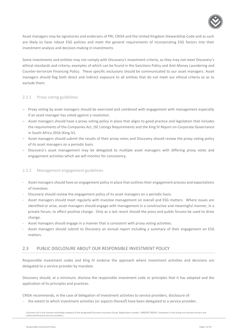

Asset managers may be signatories and endorsers of PRI, CRISA and the United Kingdom Stewardship Code and as such are likely to have robust ESG policies and meet the general requirements of incorporating ESG factors into their investment analysis and decision-making in investments.

Some investments and entities may not comply with Discovery's investment criteria, as they may not meet Discovery's ethical standards and criteria, examples of which can be found in the Sanctions Policy and Anti-Money Laundering and Counter-terrorism Financing Policy. These specific exclusions should be communicated to our asset managers. Asset managers should flag both direct and indirect exposure to all entities that do not meet our ethical criteria so as to exclude them.

### 2.2.1 Proxy voting guidelines

- ─ Proxy voting by asset managers should be exercised and combined with engagement with management especially if an asset manager has voted against a resolution.
- ─ Asset managers should have a proxy voting policy in place that aligns to good practice and legislation that includes the requirements of the Companies Act, JSE Listings Requirements and the King IV Report on Corporate Governance in South Africa 2016 (King IV).
- ─ Asset managers should submit the results of their proxy votes and Discovery should review the proxy voting policy of its asset managers on a periodic basis.
- Discovery's asset management may be delegated to multiple asset managers with differing proxy votes and engagement activities which we will monitor for consistency.

### 2.2.2 Management engagement guidelines

- Asset managers should have an engagement policy in place that outlines their engagement process and expectations of investees.
- Discovery should review the engagement policy of its asset managers on a periodic basis.
- Asset managers should meet regularly with investee management on overall and ESG matters. Where issues are identified or arise, asset managers should engage with management in a constructive and meaningful manner, in a private forum, to effect positive change. Only as a last resort should the press and public forums be used to drive change.
- Asset managers should engage in a manner that is consistent with proxy voting activities.
- Asset managers should submit to Discovery an annual report including a summary of their engagement on ESG matters.

### <span id="page-4-0"></span>2.3 PUBLIC DISCLOSURE ABOUT OUR RESPONSIBLE INVESTMENT POLICY

Responsible investment codes and King IV endorse the approach where investment activities and decisions are delegated to a service provider by mandate.

Discovery should, at a minimum, disclose the responsible investment code or principles that it has adopted and the application of its principles and practices.

CRISA recommends, in the case of delegation of investment activities to service providers, disclosure of:

- the extent to which investment activities (or aspects thereof) have been delegated to a service provider;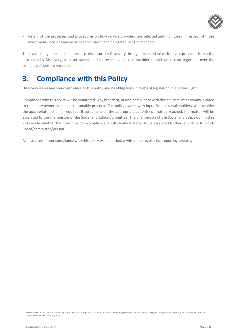

- details of the processes and procedures on how service providers are selected and monitored in respect of those investment decisions and activities that have been delegated per the mandate.

The overarching principle that applies to disclosure by Discovery through the mandate with service providers is that the disclosure by Discovery, as asset owner, and its respective service provider should when read together cover the complete disclosure required.

# <span id="page-5-0"></span>**3. Compliance with this Policy**

Discovery views any non-compliance to this policy and its obligations in terms of legislation in a serious light.

Compliance with this policy will be monitored. Any breach of, or non-compliance with this policy must be communicated to the policy owner as soon as reasonably practical. The policy owner, with input from key stakeholders, will consider the appropriate action(s) required. If agreement on the appropriate action(s) cannot be reached, the matter will be escalated to the chairperson of the Social and Ethics Committee. The chairperson of the Social and Ethics Committee will decide whether the breach or non-compliance is sufficiently material to be escalated further, and if so, to which Board/committee/person.

All instances of non-compliance with this policy will be included within the regular risk reporting process.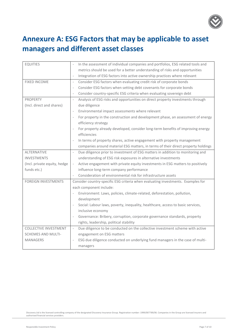

# <span id="page-6-0"></span>**Annexure A: ESG Factors that may be applicable to asset managers and different asset classes**

| <b>EQUITIES</b>              | In the assessment of individual companies and portfolios, ESG related tools and                             |
|------------------------------|-------------------------------------------------------------------------------------------------------------|
|                              | metrics should be used for a better understanding of risks and opportunities                                |
|                              | Integration of ESG factors into active ownership practices where relevant                                   |
| <b>FIXED INCOME</b>          | Consider ESG factors when evaluating credit risk of corporate bonds<br>$\overline{\phantom{a}}$             |
|                              | Consider ESG factors when setting debt covenants for corporate bonds<br>$\overline{\phantom{a}}$            |
|                              | Consider country-specific ESG criteria when evaluating sovereign debt<br>$\overline{\phantom{a}}$           |
| <b>PROPERTY</b>              | Analysis of ESG risks and opportunities on direct property investments through<br>$\overline{\phantom{a}}$  |
| (Incl. direct and shares)    | due diligence                                                                                               |
|                              | Environmental impact assessments where relevant                                                             |
|                              | For property in the construction and development phase, an assessment of energy<br>$\overline{\phantom{a}}$ |
|                              | efficiency strategy                                                                                         |
|                              | For property already developed, consider long-term benefits of improving energy                             |
|                              | efficiencies                                                                                                |
|                              | In terms of property shares, active engagement with property management<br>$\overline{\phantom{a}}$         |
|                              | companies around material ESG matters, in terms of their direct property holdings                           |
| <b>ALTERNATIVE</b>           | Due diligence prior to investment of ESG matters in addition to monitoring and<br>$\overline{\phantom{a}}$  |
| <b>INVESTMENTS</b>           | understanding of ESG risk exposures in alternative investments                                              |
| (Incl. private equity, hedge | Active engagement with private equity investments in ESG matters to positively                              |
| funds etc.)                  | influence long-term company performance                                                                     |
|                              | Consideration of environmental risk for infrastructure assets<br>$\overline{\phantom{a}}$                   |
| <b>FOREIGN INVESTMENTS</b>   | Consider country-specific ESG criteria when evaluating investments. Examples for                            |
|                              | each component include:                                                                                     |
|                              | Environment: Laws, policies, climate-related, deforestation, pollution,                                     |
|                              | development                                                                                                 |
|                              | Social: Labour laws, poverty, inequality, healthcare, access to basic services,<br>$\overline{\phantom{a}}$ |
|                              | inclusive economy                                                                                           |
|                              | Governance: Bribery, corruption, corporate governance standards, property                                   |
|                              | rights, leadership, political stability                                                                     |
| <b>COLLECTIVE INVESTMENT</b> | Due diligence to be conducted on the collective investment scheme with active<br>$\overline{\phantom{a}}$   |
| <b>SCHEMES AND MULTI-</b>    | engagement on ESG matters                                                                                   |
| <b>MANAGERS</b>              | ESG due diligence conducted on underlying fund managers in the case of multi-                               |
|                              | managers                                                                                                    |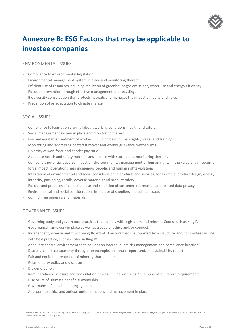

# <span id="page-7-0"></span>**Annexure B: ESG Factors that may be applicable to investee companies**

### ENVIRONMENTAL ISSUES

- Compliance to environmental legislation.
- Environmental management system in place and monitoring thereof.
- Efficient use of resources including reduction of greenhouse gas emissions, water use and energy efficiency.
- Pollution prevention through effective management and recycling.
- Biodiversity conservation that protects habitats and manages the impact on fauna and flora.
- Prevention of or adaptation to climate change.

### SOCIAL ISSUES

- Compliance to legislation around labour, working conditions, health and safety.
- Social management system in place and monitoring thereof.
- Fair and equitable treatment of workers including basic human rights, wages and training.
- Monitoring and addressing of staff turnover and worker grievance mechanisms.
- Diversity of workforce and gender pay ratio.
- Adequate health and safety mechanisms in place with subsequent monitoring thereof.
- Company's potential adverse impact on the community: management of human rights in the value chain; security force impact; operations near indigenous people; and human rights violations.
- Integration of environmental and social consideration in products and services, for example, product design, energy intensity, packaging, recalls, adverse materials and product safety.
- Policies and practices of collection, use and retention of customer information and related data privacy.
- Environmental and social considerations in the use of suppliers and sub-contractors.
- Conflict free minerals and materials.

### GOVERNANCE ISSUES

- Governing body and governance practices that comply with legislation and relevant Codes such as King IV.
- Governance framework in place as well as a code of ethics and/or conduct.
- Independent, diverse and functioning Board of Directors that is supported by a structure and committees in line with best practice, such as noted in King IV.
- Adequate control environment that includes an internal audit, risk management and compliance function.
- Disclosure and transparency through, for example, an annual report and/or sustainability report.
- Fair and equitable treatment of minority shareholders.
- Related party policy and disclosure.
- Dividend policy.
- Remuneration disclosure and consultation process in line with King IV Remuneration Report requirements.
- Disclosure of ultimate beneficial ownership.
- Governance of stakeholder engagement.
- Appropriate ethics and anticorruption practices and management in place.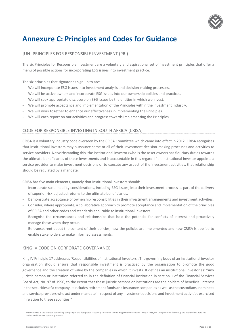

# <span id="page-8-0"></span>**Annexure C: Principles and Codes for Guidance**

### [UN] PRINCIPLES FOR RESPONSIBLE INVESTMENT (PRI)

The six Principles for Responsible Investment are a voluntary and aspirational set of investment principles that offer a menu of possible actions for incorporating ESG issues into investment practice.

The six principles that signatories sign up to are:

- We will incorporate ESG issues into investment analysis and decision-making processes.
- We will be active owners and incorporate ESG issues into our ownership policies and practices.
- We will seek appropriate disclosure on ESG issues by the entities in which we invest.
- We will promote acceptance and implementation of the Principles within the investment industry.
- We will work together to enhance our effectiveness in implementing the Principles.
- We will each report on our activities and progress towards implementing the Principles.

### CODE FOR RESPONSIBLE INVESTING IN SOUTH AFRICA (CRISA)

CRISA is a voluntary industry code overseen by the CRISA Committee which came into effect in 2012. CRISA recognises that institutional investors may outsource some or all of their investment decision-making processes and activities to service providers. Notwithstanding this, the institutional investor (who is the asset owner) has fiduciary duties towards the ultimate beneficiaries of these investments and is accountable in this regard. If an institutional investor appoints a service provider to make investment decisions or to execute any aspect of the investment activities, that relationship should be regulated by a mandate.

CRISA has five main elements, namely that institutional investors should:

- Incorporate sustainability considerations, including ESG issues, into their investment process as part of the delivery of superior risk-adjusted returns to the ultimate beneficiaries.
- Demonstrate acceptance of ownership responsibilities in their investment arrangements and investment activities.
- Consider, where appropriate, a collaborative approach to promote acceptance and implementation of the principles of CRISA and other codes and standards applicable to institutional investors.
- Recognise the circumstances and relationships that hold the potential for conflicts of interest and proactively manage these when they occur.
- Be transparent about the content of their policies, how the policies are implemented and how CRISA is applied to enable stakeholders to make informed assessments.

### KING IV CODE ON CORPORATE GOVERNANCE

King IV Principle 17 addresses 'Responsibilities of Institutional Investors': The governing body of an institutional investor organisation should ensure that responsible investment is practiced by the organisation to promote the good governance and the creation of value by the companies in which it invests. It defines an institutional investor as: "Any juristic person or institution referred to in the definition of financial institution in section 1 of the Financial Services Board Act, No. 97 of 1990, to the extent that these juristic persons or institutions are the holders of beneficial interest in the securities of a company. It includes retirement funds and insurance companies as well as the custodians, nominees and service providers who act under mandate in respect of any investment decisions and investment activities exercised in relation to these securities."